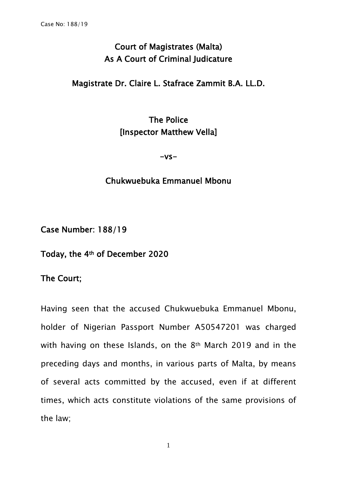## Court of Magistrates (Malta) As A Court of Criminal Judicature

## Magistrate Dr. Claire L. Stafrace Zammit B.A. LL.D.

## The Police [Inspector Matthew Vella]

 $-vs-$ 

## Chukwuebuka Emmanuel Mbonu

Case Number: 188/19

Today, the 4th of December 2020

The Court;

Having seen that the accused Chukwuebuka Emmanuel Mbonu, holder of Nigerian Passport Number A50547201 was charged with having on these Islands, on the 8th March 2019 and in the preceding days and months, in various parts of Malta, by means of several acts committed by the accused, even if at different times, which acts constitute violations of the same provisions of the law;

1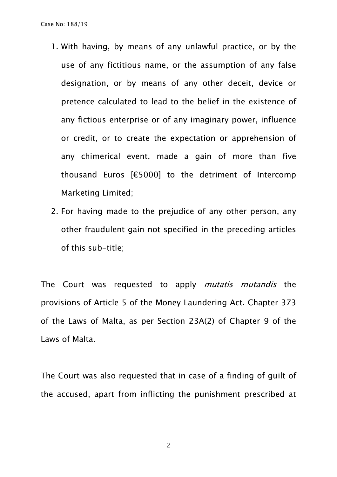- 1. With having, by means of any unlawful practice, or by the use of any fictitious name, or the assumption of any false designation, or by means of any other deceit, device or pretence calculated to lead to the belief in the existence of any fictious enterprise or of any imaginary power, influence or credit, or to create the expectation or apprehension of any chimerical event, made a gain of more than five thousand Euros [€5000] to the detriment of Intercomp Marketing Limited;
- 2. For having made to the prejudice of any other person, any other fraudulent gain not specified in the preceding articles of this sub-title;

The Court was requested to apply *mutatis mutandis* the provisions of Article 5 of the Money Laundering Act. Chapter 373 of the Laws of Malta, as per Section 23A(2) of Chapter 9 of the Laws of Malta.

The Court was also requested that in case of a finding of guilt of the accused, apart from inflicting the punishment prescribed at

2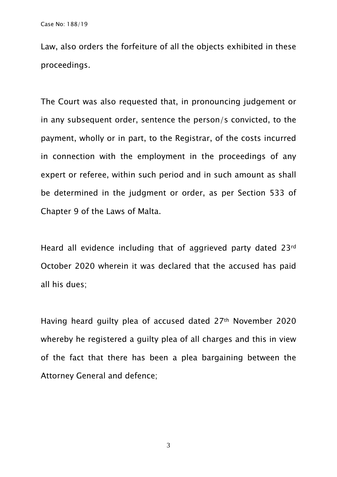Law, also orders the forfeiture of all the objects exhibited in these proceedings.

The Court was also requested that, in pronouncing judgement or in any subsequent order, sentence the person/s convicted, to the payment, wholly or in part, to the Registrar, of the costs incurred in connection with the employment in the proceedings of any expert or referee, within such period and in such amount as shall be determined in the judgment or order, as per Section 533 of Chapter 9 of the Laws of Malta.

Heard all evidence including that of aggrieved party dated 23rd October 2020 wherein it was declared that the accused has paid all his dues;

Having heard guilty plea of accused dated 27th November 2020 whereby he registered a guilty plea of all charges and this in view of the fact that there has been a plea bargaining between the Attorney General and defence;

3